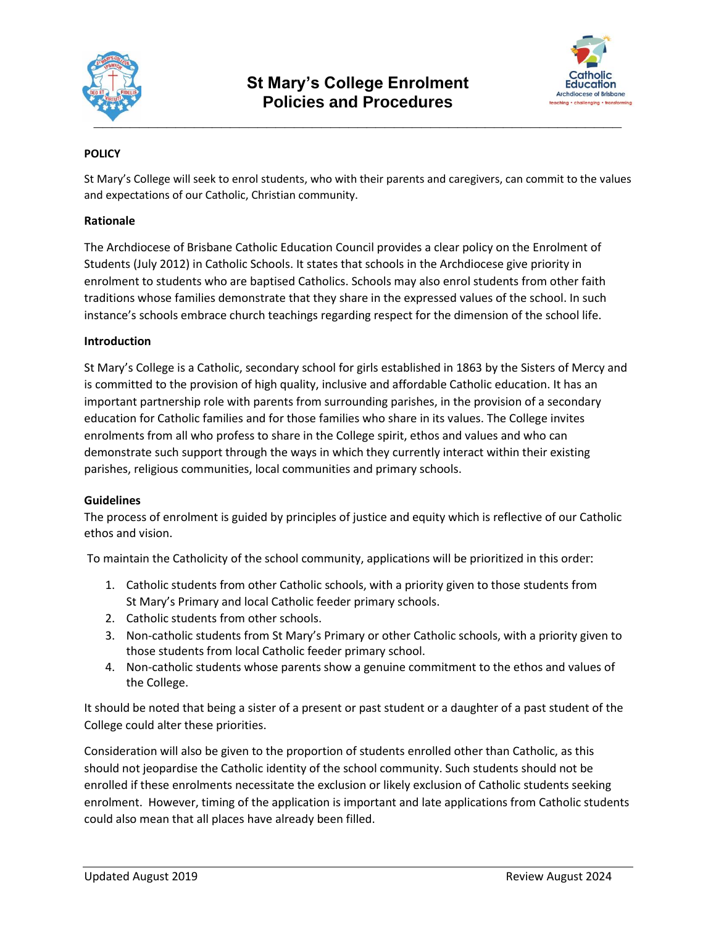



# **POLICY**

St Mary's College will seek to enrol students, who with their parents and caregivers, can commit to the values and expectations of our Catholic, Christian community.

## **Rationale**

The Archdiocese of Brisbane Catholic Education Council provides a clear policy on the Enrolment of Students (July 2012) in Catholic Schools. It states that schools in the Archdiocese give priority in enrolment to students who are baptised Catholics. Schools may also enrol students from other faith traditions whose families demonstrate that they share in the expressed values of the school. In such instance's schools embrace church teachings regarding respect for the dimension of the school life.

## **Introduction**

St Mary's College is a Catholic, secondary school for girls established in 1863 by the Sisters of Mercy and is committed to the provision of high quality, inclusive and affordable Catholic education. It has an important partnership role with parents from surrounding parishes, in the provision of a secondary education for Catholic families and for those families who share in its values. The College invites enrolments from all who profess to share in the College spirit, ethos and values and who can demonstrate such support through the ways in which they currently interact within their existing parishes, religious communities, local communities and primary schools.

### **Guidelines**

The process of enrolment is guided by principles of justice and equity which is reflective of our Catholic ethos and vision.

To maintain the Catholicity of the school community, applications will be prioritized in this order:

- 1. Catholic students from other Catholic schools, with a priority given to those students from St Mary's Primary and local Catholic feeder primary schools.
- 2. Catholic students from other schools.
- 3. Non-catholic students from St Mary's Primary or other Catholic schools, with a priority given to those students from local Catholic feeder primary school.
- 4. Non-catholic students whose parents show a genuine commitment to the ethos and values of the College.

It should be noted that being a sister of a present or past student or a daughter of a past student of the College could alter these priorities.

Consideration will also be given to the proportion of students enrolled other than Catholic, as this should not jeopardise the Catholic identity of the school community. Such students should not be enrolled if these enrolments necessitate the exclusion or likely exclusion of Catholic students seeking enrolment. However, timing of the application is important and late applications from Catholic students could also mean that all places have already been filled.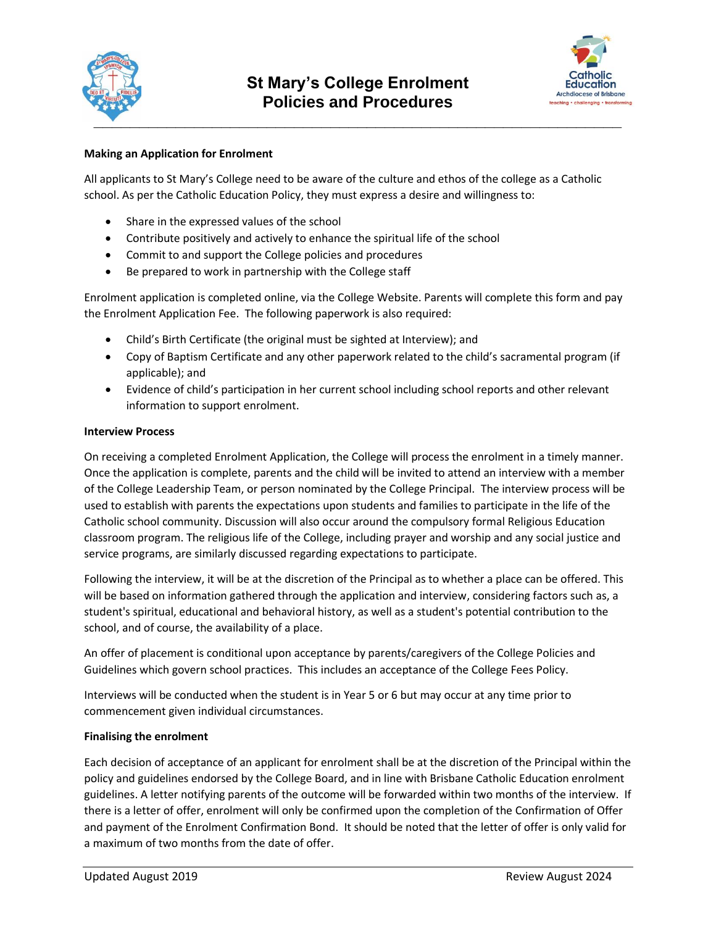



## **Making an Application for Enrolment**

All applicants to St Mary's College need to be aware of the culture and ethos of the college as a Catholic school. As per the Catholic Education Policy, they must express a desire and willingness to:

- Share in the expressed values of the school
- Contribute positively and actively to enhance the spiritual life of the school
- Commit to and support the College policies and procedures
- Be prepared to work in partnership with the College staff

Enrolment application is completed online, via the College Website. Parents will complete this form and pay the Enrolment Application Fee. The following paperwork is also required:

- Child's Birth Certificate (the original must be sighted at Interview); and
- Copy of Baptism Certificate and any other paperwork related to the child's sacramental program (if applicable); and
- Evidence of child's participation in her current school including school reports and other relevant information to support enrolment.

#### **Interview Process**

On receiving a completed Enrolment Application, the College will process the enrolment in a timely manner. Once the application is complete, parents and the child will be invited to attend an interview with a member of the College Leadership Team, or person nominated by the College Principal. The interview process will be used to establish with parents the expectations upon students and families to participate in the life of the Catholic school community. Discussion will also occur around the compulsory formal Religious Education classroom program. The religious life of the College, including prayer and worship and any social justice and service programs, are similarly discussed regarding expectations to participate.

Following the interview, it will be at the discretion of the Principal as to whether a place can be offered. This will be based on information gathered through the application and interview, considering factors such as, a student's spiritual, educational and behavioral history, as well as a student's potential contribution to the school, and of course, the availability of a place.

An offer of placement is conditional upon acceptance by parents/caregivers of the College Policies and Guidelines which govern school practices. This includes an acceptance of the College Fees Policy.

Interviews will be conducted when the student is in Year 5 or 6 but may occur at any time prior to commencement given individual circumstances.

### **Finalising the enrolment**

Each decision of acceptance of an applicant for enrolment shall be at the discretion of the Principal within the policy and guidelines endorsed by the College Board, and in line with Brisbane Catholic Education enrolment guidelines. A letter notifying parents of the outcome will be forwarded within two months of the interview. If there is a letter of offer, enrolment will only be confirmed upon the completion of the Confirmation of Offer and payment of the Enrolment Confirmation Bond. It should be noted that the letter of offer is only valid for a maximum of two months from the date of offer.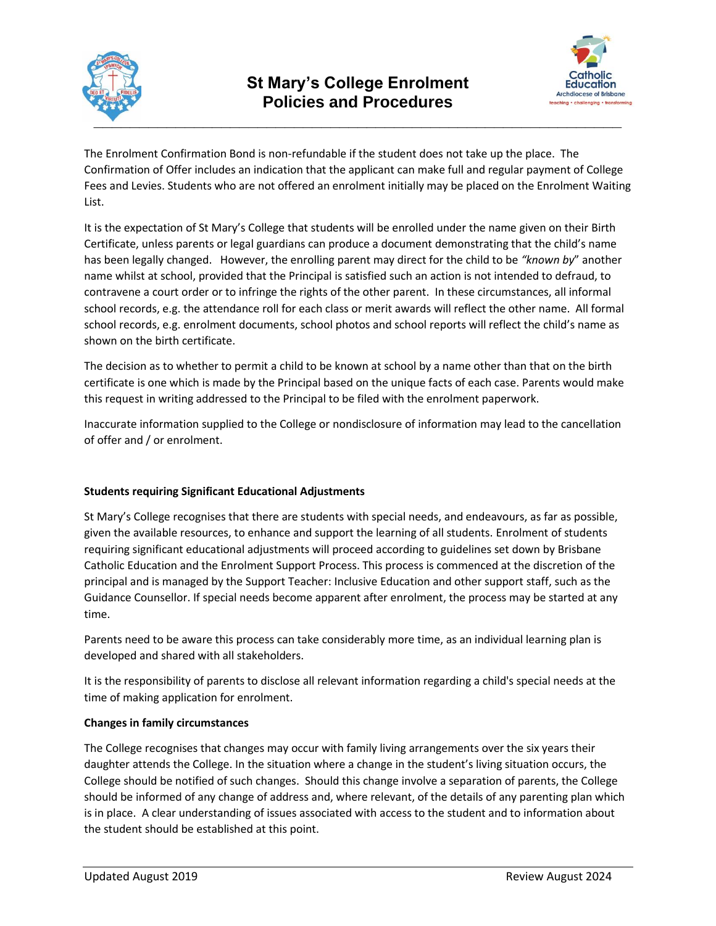



The Enrolment Confirmation Bond is non-refundable if the student does not take up the place. The Confirmation of Offer includes an indication that the applicant can make full and regular payment of College Fees and Levies. Students who are not offered an enrolment initially may be placed on the Enrolment Waiting List.

It is the expectation of St Mary's College that students will be enrolled under the name given on their Birth Certificate, unless parents or legal guardians can produce a document demonstrating that the child's name has been legally changed. However, the enrolling parent may direct for the child to be *"known by*" another name whilst at school, provided that the Principal is satisfied such an action is not intended to defraud, to contravene a court order or to infringe the rights of the other parent. In these circumstances, all informal school records, e.g. the attendance roll for each class or merit awards will reflect the other name. All formal school records, e.g. enrolment documents, school photos and school reports will reflect the child's name as shown on the birth certificate.

The decision as to whether to permit a child to be known at school by a name other than that on the birth certificate is one which is made by the Principal based on the unique facts of each case. Parents would make this request in writing addressed to the Principal to be filed with the enrolment paperwork.

Inaccurate information supplied to the College or nondisclosure of information may lead to the cancellation of offer and / or enrolment.

# **Students requiring Significant Educational Adjustments**

St Mary's College recognises that there are students with special needs, and endeavours, as far as possible, given the available resources, to enhance and support the learning of all students. Enrolment of students requiring significant educational adjustments will proceed according to guidelines set down by Brisbane Catholic Education and the Enrolment Support Process. This process is commenced at the discretion of the principal and is managed by the Support Teacher: Inclusive Education and other support staff, such as the Guidance Counsellor. If special needs become apparent after enrolment, the process may be started at any time.

Parents need to be aware this process can take considerably more time, as an individual learning plan is developed and shared with all stakeholders.

It is the responsibility of parents to disclose all relevant information regarding a child's special needs at the time of making application for enrolment.

### **Changes in family circumstances**

The College recognises that changes may occur with family living arrangements over the six years their daughter attends the College. In the situation where a change in the student's living situation occurs, the College should be notified of such changes. Should this change involve a separation of parents, the College should be informed of any change of address and, where relevant, of the details of any parenting plan which is in place. A clear understanding of issues associated with access to the student and to information about the student should be established at this point.